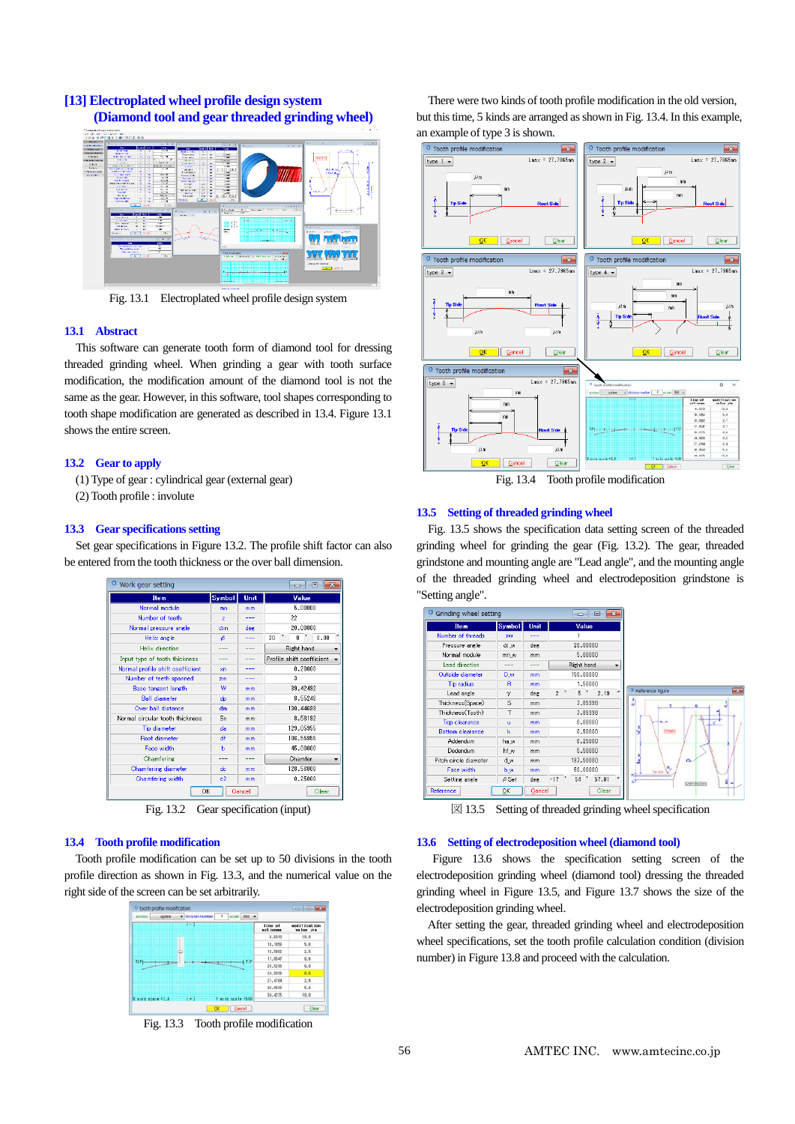# **[13] Electroplated wheel profile design system (Diamond tool and gear threaded grinding wheel)**



Fig. 13.1 Electroplated wheel profile design system

#### **13.1 Abstract**

This software can generate tooth form of diamond tool for dressing threaded grinding wheel. When grinding a gear with tooth surface modification, the modification amount of the diamond tool is not the same as the gear. However, in this software, tool shapes corresponding to tooth shape modification are generated as described in 13.4. Figure 13.1 shows the entire screen.

#### **13.2 Gear to apply**

- (1) Type of gear : cylindrical gear (external gear)
- (2) Tooth profile : involute

### **13.3 Gear specifications setting**

Set gear specifications in Figure 13.2. The profile shift factor can also be entered from the tooth thickness or the over ball dimension.

| Work gear setting<br>同<br>-0-    |                |        |                           |  |
|----------------------------------|----------------|--------|---------------------------|--|
| <b>Item</b>                      | Symbol         | Unit   | Value                     |  |
| Normal module                    | mn             | mm     | 5,00000                   |  |
| Number of teeth                  | z              |        | 22                        |  |
| Normal pressure angle            | $\alpha$ n     | deg    | 20,00000                  |  |
| Helix angle                      | Β              |        | æ<br>20<br>0.00<br>ñ      |  |
| Helix direction                  |                |        | Right hand                |  |
| Input type of tooth thickness    |                |        | Profile shift coefficient |  |
| Normal profile shift coefficient | xn             |        | 0.20000                   |  |
| Number of teeth spanned          | 2 <sub>m</sub> |        | 3                         |  |
| <b>Base tangent length</b>       | w              | mm     | 39.42492                  |  |
| <b>Ball diameter</b>             | dp             | mm     | 8.55246                   |  |
| Over hall distance               | dm             | mm     | 130.44699                 |  |
| Normal circular tooth thickness  | Sn             | mm     | 8.58192                   |  |
| Tip diameter                     | da             | mm     | 129.05955                 |  |
| <b>Root diameter</b>             | df             | mm     | 106.55955                 |  |
| Face width                       | ь              | mm     | 45.00000                  |  |
| Chamfering                       | ---            | ---    | Chamfer                   |  |
| Chamfering diameter              | de             | mm     | 128.56000                 |  |
| Chamfering width                 | $_{c2}$        | mm     | 0.25000                   |  |
| ΟK                               |                | Cancel | Clear                     |  |

Fig. 13.2 Gear specification (input)

### **13.4 Tooth profile modification**

Tooth profile modification can be set up to 50 divisions in the tooth profile direction as shown in Fig. 13.3, and the numerical value on the right side of the screen can be set arbitrarily.



Fig. 13.3 Tooth profile modification

There were two kinds of tooth profile modification in the old version, but this time, 5 kinds are arranged as shown in Fig. 13.4. In this example, an example of type 3 is shown.



Fig. 13.4 Tooth profile modification

#### **13.5 Setting of threaded grinding wheel**

Fig. 13.5 shows the specification data setting screen of the threaded grinding wheel for grinding the gear (Fig. 13.2). The gear, threaded grindstone and mounting angle are "Lead angle", and the mounting angle of the threaded grinding wheel and electrodeposition grindstone is "Setting angle".

| Grinding wheel setting |                     |             | $\Box$<br>$\overline{\mathbf{x}}$<br>$\Box$ |                    |                          |
|------------------------|---------------------|-------------|---------------------------------------------|--------------------|--------------------------|
| <b>Item</b>            | Symbol <sup>1</sup> | <b>Unit</b> | Value                                       |                    |                          |
| Number of threads      | 209                 | ---         |                                             |                    |                          |
| Pressure angle         | αw                  | deg         | 20,00000                                    |                    |                          |
| Normal module          | mn w                | mm          | 5,00000                                     |                    |                          |
| Lead direction         | ---                 | ---         | Right hand                                  |                    |                          |
| Outside diameter       | D w                 | mm          | 150,00000                                   |                    |                          |
| Tip radius             | R                   | mm          | 1,50000                                     |                    |                          |
| Lead angle             | $\gamma$            | deg         | $\alpha$<br>2.19<br>5<br>$2$ $^{\circ}$     | O Reference figure | $\overline{\phantom{a}}$ |
| Thickness(Space)       | S                   | mm          | 7.85398                                     | e<br>۳             |                          |
| Thickness(Tooth)       | T                   | mm          | 7.85398                                     |                    |                          |
| Top clearance          | $\mathbf u$         | mm          | 0.00000                                     | $a_{1}$<br>.c      |                          |
| Bottom clearance       | $\mathbf k$         | mm          | 0.50000                                     | (www)<br>ś         |                          |
| Addendum               | ha w                | mm          | 6,25000                                     |                    |                          |
| Dedendum               | hf w                | mm          | 5,50000                                     |                    |                          |
| Pitch circle diameter  | d w                 | mm          | 137,50000                                   | ö.                 |                          |
| Face width             | b w                 | mm          | 50,00000                                    | R,<br>Torney &     |                          |
| Setting angle          | $\beta$ Set         | deg.        | 54<br>$\alpha$<br>57.81<br>$-17$ $+$        | 9<br>Example tho?  |                          |
| Reference              | ŌΚ                  | Cancel      | Clear                                       |                    |                          |

 $\boxtimes$  13.5 Setting of threaded grinding wheel specification

#### **13.6 Setting of electrodeposition wheel (diamond tool)**

Figure 13.6 shows the specification setting screen of the electrodeposition grinding wheel (diamond tool) dressing the threaded grinding wheel in Figure 13.5, and Figure 13.7 shows the size of the electrodeposition grinding wheel.

After setting the gear, threaded grinding wheel and electrodeposition wheel specifications, set the tooth profile calculation condition (division number) in Figure 13.8 and proceed with the calculation.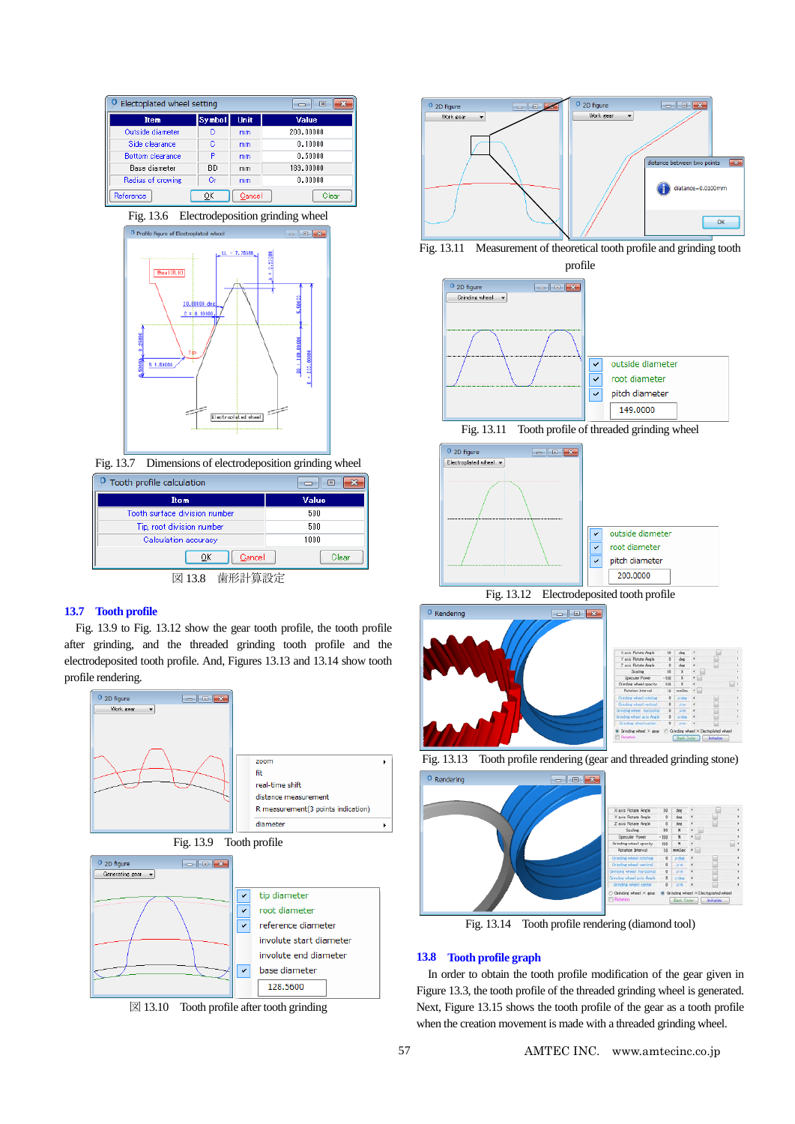| Electoplated wheel setting |        |             | x<br>▣    |
|----------------------------|--------|-------------|-----------|
| <b>Item</b>                | Symbol | <b>Unit</b> | Value     |
| Outside diameter           | D      | mm          | 200,00000 |
| Side clearance             | G      | mm          | 0.10000   |
| <b>Bottom clearance</b>    | P      | mm          | 0.50000   |
| Base diameter              | BD     | mm          | 189,00000 |
| Radius of crowing          | Gr     | mm          | 0.00000   |
| Reference                  | ОК     | Cancel      | Clear     |





Fig. 13.7 Dimensions of electrodeposition grinding wheel

| Tooth profile calculation     | 叵     |  |  |  |
|-------------------------------|-------|--|--|--|
| <b>Item</b>                   | Value |  |  |  |
| Tooth surface division number | 500   |  |  |  |
| Tip, root division number     | 500   |  |  |  |
| Calculation accuracy          | 1000  |  |  |  |
| Cancel<br>OK                  | Clear |  |  |  |
| 図 13.8 歯形計算設定                 |       |  |  |  |

## **13.7 Tooth profile**

Fig. 13.9 to Fig. 13.12 show the gear tooth profile, the tooth profile after grinding, and the threaded grinding tooth profile and the electrodeposited tooth profile. And, Figures 13.13 and 13.14 show tooth profile rendering.



 $\boxtimes$  13.10 Tooth profile after tooth grinding





profile







Fig. 13.12 Electrodeposited tooth profile







Fig. 13.14 Tooth profile rendering (diamond tool)

### **13.8 Tooth profile graph**

In order to obtain the tooth profile modification of the gear given in Figure 13.3, the tooth profile of the threaded grinding wheel is generated. Next, Figure 13.15 shows the tooth profile of the gear as a tooth profile when the creation movement is made with a threaded grinding wheel.